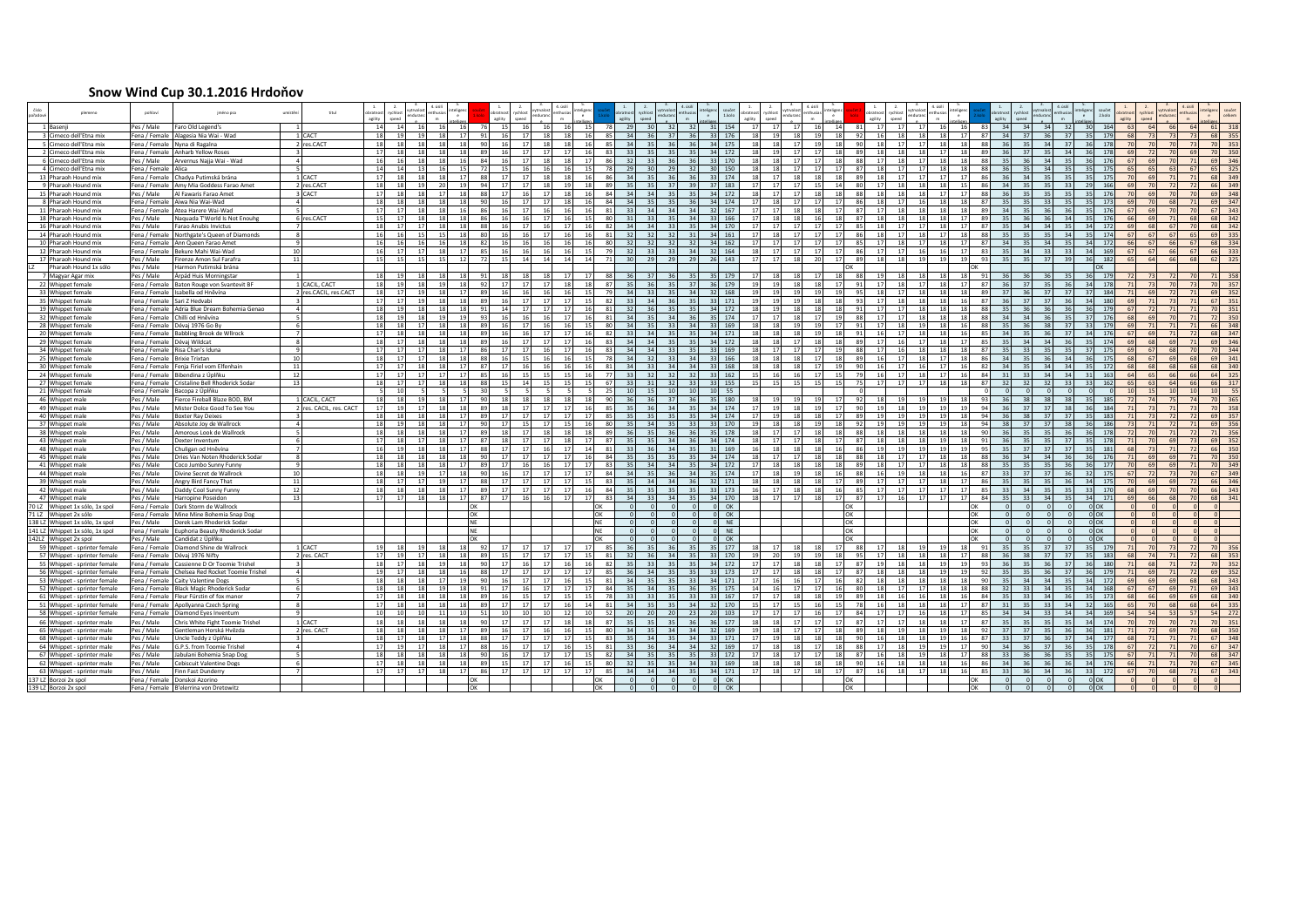## **Snow Wind Cup 30.1.2016 Hrdoňov**

| plemeno                                                      | pohlay                       | iméno psa                                                                       |                | titul                   |                     |                 |                    |          |     |                 |          |                       |      |                |                 |                 |                  |                 |            |      |                                   |          |    |                            |                |                 |                 |           |             |          |          |                                     |                         |    |                        |
|--------------------------------------------------------------|------------------------------|---------------------------------------------------------------------------------|----------------|-------------------------|---------------------|-----------------|--------------------|----------|-----|-----------------|----------|-----------------------|------|----------------|-----------------|-----------------|------------------|-----------------|------------|------|-----------------------------------|----------|----|----------------------------|----------------|-----------------|-----------------|-----------|-------------|----------|----------|-------------------------------------|-------------------------|----|------------------------|
| 1 Basenii                                                    | Pes / Male                   | Faro Old Legend's                                                               |                |                         | 14                  | 14              |                    |          |     | 15              |          |                       |      |                | 29              |                 |                  |                 | 154        |      |                                   |          |    |                            |                |                 |                 | 34        |             |          | 321      | 164                                 |                         |    |                        |
| 3 Cirneco dell'Etna mix                                      |                              | Fena / Female Alagesia Nia Wai - Wad                                            |                | 1 CACT                  | 18                  | 19              | 19                 | 18       |     | 16              | 17       | 18                    | 18   |                | 34              | 36              |                  | 36              | 176        |      | 18<br>19                          |          |    | 16                         | 18<br>18       | 18              |                 | 24        |             |          | 37       | 179<br>68                           |                         |    | 355                    |
| 5 Cirneco dell'Etna mix                                      |                              | Fena / Female Nyna di Ragalna                                                   |                | 2 res.CACT              | 18<br><sup>17</sup> | 18<br>18        | 18<br>18           | 18<br>18 |     | 16<br>16        | 17<br>17 | 18<br>17<br>17        | 18   |                | 34<br>33        | 35<br>35        | 36               | 36<br>35        | 175        |      | 17<br>18<br>19<br>17              | 19       |    | 18<br><b>GC</b><br>18      | 17<br>17       | 18<br>17        | 18<br>18        | 36<br>36  | 35<br>37    | 34       | 37<br>34 | 178<br>70 <sup>1</sup><br>178<br>69 | 70<br>70                |    | 70<br>353<br>70        |
| 2 Cirneco dell'Etna mix<br>6 Cirneco dell'Etna mix           |                              | Fena / Female Anharb Yellow Roses<br>Pes / Male Arvernus Najja Wai - Wad        |                |                         | 16                  | 16              | 18                 | 18       |     | 16              | 17       | 18<br>18              |      |                | 32              | 33              | 35<br>36         | 36              | 172<br>170 |      | 18<br>17                          | 17<br>17 |    | 17<br>88                   | 18<br>17<br>18 | 18              | 18              | 35        | 36          | 34       | 35       | 176<br>67                           | 70                      |    | 350<br>346<br>69       |
| 4 Cirneco dell'Etna mix                                      | Fena / Female Alica          |                                                                                 |                |                         | 14                  | 14              | 13                 | 16       |     | 15              | 16       | 16<br><b>16</b>       |      |                | 29              | $\mathbf{a}$    | 29               | 32              | 150        | 18   | 18<br>17                          | 17       |    | 18<br>87                   | 17<br>17       | 18              | 18              | 361       | 35          | 34       | 35 l     | 175<br>65                           | 63                      | 67 | 325<br>65              |
| 13 Pharaoh Hound mix                                         |                              | Fena / Female Chadya Putimská brána                                             |                | 1 CACT                  | 17                  | 18              | <b>18</b>          | 18       |     | 17              | 17       | 18<br>18              |      |                | 34              |                 |                  | 36              | 174        |      | 17<br>18                          | 18       |    | 18                         | 17             | 17              |                 |           | 34          |          | 35       | 175<br>70                           |                         |    | 349                    |
| 9 Pharaoh Hound mix                                          |                              | Fena / Female Amy Mia Goddess Farao Amet                                        |                | 2 res.CACT              | 18                  | 18              | 19                 | 20       |     | 17              | 17       | 18<br>19              |      |                | 35              |                 | 37               | 39              | 183        |      | 17<br>17                          | 15       |    | 17                         | 18             | 18              | -15             | 34        |             | 33       |          | 166<br>69                           |                         |    | 349<br>66              |
| 15 Pharaoh Hound mix                                         | Pes / Male                   | Al Fawaris Farao Amet                                                           |                | 3 CACT                  | 17                  | 18              | <b>18</b>          | 17       |     | 17              | 16       | 17<br>18              |      |                | 34              |                 | -35              | 35              | 172        |      | 17<br>17                          | 18       |    | 18<br>85                   | 18             | 17              |                 | 36        | 35          | 35       |          | 176<br>70                           |                         |    | 348<br>69              |
| 8 Pharaoh Hound mix                                          |                              | Fena / Female Aiwa Nia Wai-Wad                                                  |                |                         | 18                  | 18              | <b>18</b>          | 18       |     | 16              | 17       | 17<br>18              |      |                | 34              |                 |                  | 36              | 174        |      | 18                                |          |    | 18                         | 16             | 18              |                 |           |             |          | 35       | 173<br>69                           |                         |    | 347<br>69              |
| 11 Pharaoh Hound mix                                         |                              | Fena / Female Atea Harere Wai-Wad                                               |                |                         | 17                  | 17              | <b>18</b>          |          |     | 16              | 17       | 16<br>16              |      |                | 331             |                 | 34               | 34              | 167        |      | 17<br>18                          |          |    | 87<br>17                   | 18             | 18              | -18             | 34        |             |          | 36       | 176<br>67                           |                         |    | 343<br>67              |
| 18 Pharaoh Hound mix                                         | Pes / Male                   | Naquada T'World Is Not Enouhg                                                   |                | 6 res.CACT              | 15                  | 17              | 18 <sup>1</sup>    | 18       |     | 16              | 16       | 17<br>16              |      |                | 31              |                 | 35               | 34              | 166        |      | 18<br>18                          |          |    | 87<br>18                   | 18             | 18              | 17              | 35        |             |          | 34       | 176<br>66                           |                         |    | 342<br>68              |
| 16 Pharaoh Hound mix                                         | Pes / Male                   | Farao Anubis Invictus                                                           |                |                         | 18                  | 17              |                    |          |     | 16              |          |                       |      |                | 34              |                 |                  |                 | 170        |      |                                   |          |    | 18                         |                | 18              |                 |           |             |          |          | 172                                 |                         |    | 342                    |
| 14 Pharaoh Hound mix                                         |                              | Fena / Female Northgate's Queen of Diamonds                                     |                |                         | 16                  | 16              |                    | 16       |     | 16              |          | 17<br>16              |      |                | 32              |                 |                  |                 | 161        |      | 18                                |          |    | 18                         | 18             | 17              |                 |           |             |          | 24       | 174<br>67<br>66                     | 67                      |    | 335                    |
| 10 Pharaoh Hound mix<br>12 Pharaoh Hound mix                 |                              | Fena / Female Ann Queen Farao Amet<br>Fena / Female Bekure Mahi Wai-Wad         | 10             |                         | 16<br>16            | 16<br>17        | 17                 | 18       |     | 16<br>16        |          | 16<br>16<br>16<br>16  |      |                | 32<br>32        |                 | 33               | 32<br>34        | 162<br>164 |      | 17 <sup>1</sup><br>17<br>17<br>17 |          |    | 17<br>17                   | 17<br>16       | 18<br>16        |                 | 34<br>351 | 34          | 35       | 33       | 172<br>169<br>67                    | 66<br>67<br>66<br>67    |    | 334<br>333             |
| 17 Pharaoh Hound mix                                         | Pes / Male                   | Firenze Amon Sul Farafra                                                        | 11             |                         | 15                  | 15              | 15                 | 15       |     | 15 <sup>1</sup> | 16<br>14 | 14<br>14              |      |                | 30 <sup>1</sup> | 29              | - 29             | 29              | 143        |      | 17<br>18                          | 20       |    | 18                         | 19             | 19 <sup>1</sup> |                 | 35        |             |          | 39       | 182<br>65                           | 64<br>66                |    | 325                    |
| Pharaoh Hound 1x sólo                                        | Pes / Male                   | Harmon Putimská brána                                                           |                |                         |                     |                 |                    |          |     |                 |          |                       |      |                |                 |                 |                  |                 |            |      |                                   |          |    |                            |                |                 |                 |           |             |          |          |                                     |                         |    |                        |
| 7 Magyar Agar mix                                            | Pes / Male                   | Árpád Huis Morningstar                                                          | $\overline{1}$ |                         | 18                  | 19              | 18                 | 18       |     | 18              | 18       | 18<br>17              |      |                | 36              | 37              | 36               | 35              | 179<br>-35 |      | 18<br>18                          | 17       |    | 19<br>88                   | 18<br>18       | <b>18</b>       | 18              | 36        | 36          | -36      | 35       | 179<br><b>72</b>                    | 72<br>73                |    | 358<br>71              |
| 22 Whippet female                                            |                              | Fena / Female Baton Rouge von Svantevit BF                                      |                | 1 CACIL, CACT           | 18                  | 19              | <b>18</b>          | 19       |     | 17              | 17       | 17<br>18              |      |                | 35              | 36              | 35               | 37 <sup>1</sup> | 179        |      | 19<br>18                          | 18       |    | 17                         | 17             | 18              |                 | 361       | 37          |          | 36       | 178                                 | 70                      |    | 357                    |
| 33 Whippet female                                            |                              | Fena / Female Isabella od Hněvína                                               |                | 2 res.CACIL, res.CACT   | 18                  | 17              | 19                 | 18       |     | 16              | 16       | 16<br>16              |      |                | 34              | $-33$           | 35               | 34              | 168        |      | 19<br>19                          |          |    | 18                         | 18             | 18              | 18              | 37        |             |          | 37       | 184                                 |                         |    | 352                    |
| 35 Whippet female                                            | Fena / Female Sari Z Hedvabi |                                                                                 |                |                         | 17                  | 17              | 19                 | 18       |     | 16              | 17       | 17<br>17              |      |                | 33              |                 |                  | 35              | 171        |      | 19<br>19                          |          |    | 17                         | 18             | 18              |                 |           |             |          | 36       | 180                                 |                         |    | 67<br>351              |
| 19 Whippet female                                            |                              | Fena / Female Adria Blue Dream Bohemia Genao                                    |                |                         | 18                  | 19              | 18                 | 18       |     | 14              |          | 17<br>17              |      |                | 32              |                 |                  | 35 L            | 172        |      | 19 <sup>1</sup><br>18             |          |    | 17                         | 18             | 18 <sup>1</sup> |                 |           |             |          | 36       | 179<br>67                           |                         |    | 351                    |
| 32 Whippet female                                            |                              | Fena / Female Chilli od Hněvína                                                 |                |                         | 18                  | 19              | 18                 | 19       |     | 16              | 16       | 16<br>17              |      |                | 34              | 35              |                  | 36              | 174        |      | 17<br>18                          |          |    | 17<br>88                   | 18             | 18              |                 | 24        |             |          | 35       | 176<br>68                           |                         |    | 350<br>72              |
| 28 Whippet female                                            |                              | Fena / Female Dévaj 1976 Go By                                                  |                |                         | 18<br>17            | 18<br>18        | 17<br>18           | 18<br>18 |     | 16              | 17<br>16 | 16<br>16<br>17<br>17  |      |                | 34              | 35              |                  | 34              | 169        |      | 18<br>19 <sup>1</sup>             |          |    | 17<br>16                   | 19<br>18       | 18<br>18        |                 | 35<br>24  |             |          | 37<br>37 | 179<br>69<br>67                     | 71                      |    | 66<br>348<br>68        |
| 20 Whippet female                                            |                              | Fena / Female Babbling Brook de Wllrock                                         |                |                         | 18                  | 17              | 18                 | 18       |     | 16<br>16        | 17       | 17<br>17              |      |                | 33<br>34        | 34<br>34        | 35               | 35<br>35        | 171        |      | 18<br>18<br>18<br>17              |          |    | 17                         | 17             | 18              |                 | 35        | 34          |          | 36       | 176<br>174<br>69                    | 69                      |    | 347<br>346<br>69       |
| 29 Whippet female<br>34 Whippet female                       | Fena / Female Dévaj Wildcat  | Fena / Female Risa Chan's Iduna                                                 |                |                         | 17                  | 17              | 17                 | 18       |     | 17              | 17       | 16<br>17              | 16   |                | 34              | 34              | 33               | 35 L            | 172<br>169 |      | 17 <sup>1</sup><br>17             | 17       |    | 17<br>88                   | 18             | 18              | 18              | 35        | 33          |          | 35       | 175<br>69                           | 68                      |    | 344<br>70              |
| 25 Whippet female                                            | Fena / Female Brixie Trixtan |                                                                                 | 10             |                         | 18                  | 17              | 17                 | 18       |     | 16              | 15       | 16<br>16              | 15   |                | 34              | 32 <sup>1</sup> | 33               | 34              | 166        |      | 18<br>18 <sup>1</sup>             | 17       |    | 16<br><b>RS</b>            | 18             | 17              | 18              | 34        | 35          | 36       | 34       | 175<br>68                           | 69<br>67                |    | 69<br>341              |
| 30 Whippet female                                            |                              | Fena / Female Fenia Firiel vom Elfenhain                                        | 11             |                         | 17                  | 17              | <sub>18</sub>      | 18       | 87  | 17              | 16       | 16<br>16              | 16   |                | 34              | 331             | 34               | 34              | 168<br>-33 |      | 18<br>18 <sup>1</sup>             | 17       |    | 16<br>90                   | 16             | 17              | 16              | 34        | 35          | 34       | 34       | 172<br>68                           | 68<br>68                | 68 | 68<br>340              |
| 24 Whippet female                                            |                              | Fena / Female Bibendina z Úplňku                                                | 12             |                         | 17                  | 17              | 17                 | 17       | 85  | 16              | 15       | 15<br><b>15</b>       | 16   | $\overline{7}$ | 33              | 32              | 32               | 32              | 162        | 15   | 16<br>16                          | 17       |    | 16<br>7 <sup>c</sup><br>17 | 18             | 17              | 16              | 31        | 33          | 34       | 34       | 163<br>64                           | 65<br>66                | 66 | 64<br>325              |
| 27 Whippet female                                            |                              | Fena / Female Cristaline Bell Rhoderick Sodar                                   | <b>13</b>      |                         | 18                  | 17              | 17                 | 18       | -88 | 15              | 14       | 15<br>15              |      | - 67           | 33              | 31              | 32               | 33              | 155        | - 15 | 15<br>15                          | 15       |    | 17<br>7 <sup>5</sup>       | 17             | 18              | -18             | 32        | 32          | 32       | 33       | 162<br>65                           | 63<br>64                | 66 | 66<br>317              |
| 21 Whippet female                                            |                              | Fena / Female Bacopa z Úplňku                                                   |                |                         |                     | 10              | - 51               |          |     | -51             |          | - 5 1                 | - 51 |                | 10              | 15              | 10 <sup>10</sup> | 10              | 55<br>10   |      |                                   |          |    |                            |                |                 |                 | nl        |             |          | $\Omega$ | 10 <sup>1</sup>                     | 10<br>15                |    | 10<br>55               |
| 46 Whippet male                                              | Pes / Male                   | Fierce Fireball Blaze BOD, BM                                                   |                | 1 CACIL, CACT           | 18                  | 18              | 19                 | 18       |     | 18              | 18       | 18                    | 181  |                | 36              | 361             |                  | 36              | 180        |      | 19                                |          |    | 18                         | 19             | 19              |                 | 36        |             |          | 38       | 185                                 |                         |    | 365                    |
| 49 Whippet male                                              | Pes / Male                   | Mister Dolce Good To See You                                                    |                | 2 res. CACIL, res. CACT | 17                  | 19              | 17                 | 18       |     | 18              | 17       | 17<br>17              |      |                | 35              | 36              | 34               | 35              | 174        |      | 19<br>18                          |          |    | 19                         | 19             | 19              |                 | 36        |             |          | 38       | 184                                 |                         |    | 358                    |
| 40 Whippet male                                              | Pes / Male                   | <b>Boxter Ray Deixes</b>                                                        |                |                         | 18                  | 18              | <b>18</b>          | 18       |     | 17              | 17       | 17 <sup>1</sup><br>17 |      |                | 35 <sup>1</sup> | 351             |                  | 35 L            | 174        |      | 19 <sup>1</sup><br>18             |          |    | 19<br>19                   | 19             | 19              |                 | 361       | 38          |          | 37       | 183                                 | 72                      |    | 69<br>357              |
| 37 Whippet male                                              | Pes / Male                   | Absolute Joy de Wallrock                                                        |                |                         | 18<br>18            | 19<br>18        |                    |          |     | 17<br>18        |          | 17<br>18<br>18        |      |                | 35<br>36        |                 |                  | 33<br>36        | 170<br>178 |      | 18<br>18<br>17                    |          |    | 18                         | 19<br>18       | 19<br>18        |                 |           |             | 38       | 26       | 186<br>178                          | 71                      |    | 356<br>356<br>71       |
| 38 Whippet male<br>43 Whippet male                           | Pes / Male<br>Pes / Male     | Amorous Look de Wallrock<br>Dexter Inventum                                     |                |                         | 17                  | 18              |                    |          |     | 18 <sup>1</sup> | 17       | 17<br>18              |      |                | 35              |                 |                  | 36              | 174        |      | 17 <sup>1</sup>                   |          |    | 18                         | 18             | 19              |                 |           |             |          | 37       | 178                                 | 69                      |    | 352<br>69              |
| 48 Whippet male                                              | Pes / Male                   | Chuligan od Hněvína                                                             |                |                         | -16                 | 19              | 18                 | 18       |     | 17              | 17       | 16<br>17              |      |                | 33              |                 |                  | 35              | 169        |      | 18<br>18                          | 18       |    | 19                         | 19             | 19              |                 |           | 37          |          | 37       | 181                                 |                         |    | 350<br>66              |
| 45 Whippet male                                              | Pes / Male                   | Dries Van Noten Rhoderick Sodar                                                 |                |                         | 18                  | 18              | 18                 | 18       |     | 17              | 17       | 17<br>17              |      |                | 35              |                 |                  | 35              | 174        |      | 17                                |          |    | 18                         | 17             | 18              |                 |           | 34          |          | 36       | 176                                 | 69                      |    | 350                    |
| 41 Whippet male                                              | Pes / Male                   | Coco Jumbo Sunny Funny                                                          |                |                         | 18                  | 18              | 18                 | 18       |     | 17              |          | 16<br>17              |      |                | 35              |                 |                  | 35              | 172        |      | 18<br>18                          |          |    | 18                         | 17             | 18              |                 |           |             | 36       |          | 177                                 |                         |    | 349                    |
| 44 Whippet male                                              | Pes / Male                   | Divine Secret de Wallrock                                                       | 10             |                         | 18                  | 18              | - 19               | 17       |     | 16              | 17       | 17 <sup>1</sup><br>17 |      |                | 34              |                 |                  | 34              | 174        |      | 18<br>19                          |          |    | 16                         | 18             | 18              |                 |           |             |          |          | 175                                 |                         |    | 349                    |
| 39 Whippet male                                              | Pes / Male                   | Angry Bird Fancy That                                                           | 11             |                         | 18                  | 17              |                    |          |     | 17              | 17       | 17<br>17              |      |                | 35              |                 |                  | 36              | 171        |      | 18                                |          |    | 17                         | 17             | 18              |                 |           |             |          |          | 175                                 |                         |    | 346                    |
| 42 Whippet male                                              | Pes / Male                   | Daddy Cool Sunny Funny                                                          | 12             |                         | 18                  | 18              | 18                 | 18       |     | 17              | 17       | 17<br>17              |      |                | 35              |                 |                  | 35              | 173        |      | 17<br>18                          | 18       |    | 17<br>$R^c$                | 17             | 17              | -17             |           |             | 35       |          | 170<br>68                           |                         |    | 343<br>341<br>68       |
| 47 Whippet male<br>70 LZ Whippet 1x sólo, 1x spol            | Pes / Male                   | Harropine Poseidon<br>Fena / Female Dark Storm de Wallrock                      | 13             |                         | 17                  | 17              | <b>18</b>          | 18       |     | 17              | 16       | 16<br>17              |      |                | 34              |                 |                  | 35              | 170<br>OK  | 18   | 17<br>17                          | 18       |    | 17<br>- 87<br>16           | 17             | 17              | 17<br>OK        |           |             |          | 35       | 171<br>69<br>OK                     | 68                      |    |                        |
| 71 LZ Whippet 2x sólo                                        |                              | Fena / Female Mine Mine Bohemia Snap Dog                                        |                |                         |                     |                 |                    |          |     |                 |          |                       |      | OK             |                 |                 |                  | $\Omega$        | OK         |      |                                   |          | OK |                            |                |                 | OK              |           |             |          |          | OK                                  |                         |    |                        |
| 138 LZ Whippet 1x sólo, 1x spol                              | Pes / Male                   | Derek Lam Rhoderick Sodar                                                       |                |                         |                     |                 |                    |          |     |                 |          |                       |      |                |                 |                 |                  |                 | <b>NE</b>  |      |                                   |          |    |                            |                |                 | ЭK              |           |             |          |          | OK                                  |                         |    |                        |
| 141 LZ Whippet 1x sólo, 1x spol                              |                              | Fena / Female Euphoria Beauty Rhoderick Sodar                                   |                |                         |                     |                 |                    |          |     |                 |          |                       |      |                |                 |                 |                  |                 | NE         |      |                                   |          |    |                            |                |                 | ЭK              |           |             |          |          | OK                                  |                         |    |                        |
| 142LZ Whippet 2x spol                                        | Pes / Male                   | Candidat z Úplňku                                                               |                |                         |                     |                 |                    |          |     |                 |          |                       |      |                |                 | $\Omega$        |                  | $\Omega$        | OK         |      |                                   |          |    |                            |                |                 | OK              |           |             |          |          | $\alpha$                            |                         |    |                        |
| 59 Whippet - sprinter female                                 |                              | Fena / Female Diamond Shine de Wallrock                                         |                | L CACT                  |                     |                 |                    |          |     |                 |          | 17                    |      |                |                 |                 |                  |                 | 177        |      | 17                                |          |    | 17                         | 19             | 19              |                 |           |             |          |          | 179                                 |                         |    |                        |
| 57 Whippet - sprinter female                                 |                              | Fena / Female Dévaj 1976 Nifty                                                  |                | 2 res. CACT             | 17                  | 19              | 17                 | 18       |     | 15 <sup>1</sup> | 17       | 17<br>17              |      |                | 32              |                 | 34               | 35              | 170        |      | 20<br>19 <sup>1</sup>             | 19       |    | 17<br>Q <sub>0</sub>       | 18<br>18       | 18 <sup>1</sup> | 17              | 36        |             |          | 37       | 183<br>68                           | 71<br>74                |    | 68<br>353              |
| 55 Whippet - sprinter female                                 |                              | Fena / Female Cassienne D Or Toomie Trishel                                     |                |                         | 18                  | 17              | 18                 | 19       |     | 17              | 16       | 17<br>16              |      |                | 35              | $-33$           | -35              | 35              | 172        |      | 17<br>18                          | -18      |    | 19<br>87                   | 18             | 19              | - 19            | 36        | 35          |          | 37       | 180<br>71                           | 68<br>71                |    | 352<br>70              |
| 56 Whippet - sprinter female                                 |                              | Fena / Female Chelsea Red Rocket Toomie Trishel                                 |                |                         | 19                  | 17 <sup>1</sup> | 18                 | 18       |     | 17              | 17<br>17 | 17<br>17              |      |                | 36<br>34        | 24<br>35        | -35              | 35              | 173        |      | 17<br>18<br>16                    | 18       |    | 18<br>87<br>-87            | 18             | 19              |                 | 35<br>351 | 35<br>$-34$ | 37<br>34 |          | 179<br>71<br>69                     | 69<br>71<br>69<br>69    |    | 352<br>69<br>343       |
| 53 Whippet - sprinter female<br>52 Whippet - sprinter female |                              | Fena / Female Caity Valentine Dogs<br>Fena / Female Black Magic Rhoderick Sodar |                |                         | 18<br>18            | 18<br>18        | <b>18</b><br>18    | 17       |     | 16<br>17        | -16      | 17<br>16<br>17<br>17  |      |                | 35              |                 | -35              | 33<br>36        | 171<br>175 |      | 16<br>16<br>17                    |          |    | 18<br>18                   | 18<br>17       | 18<br>18        |                 | 32        | 33          | 34       | 35<br>35 | 172<br>168<br>67                    | 69<br>67                |    | 68<br>69<br>343        |
| 61 Whippet - sprinter female                                 |                              | Fena / Female Fleur Fürstin of fox manor                                        |                |                         | 17                  | 18              | <b>18</b>          |          |     | 16              |          | 17<br><b>15</b>       |      |                | 331             |                 |                  | 33              | 167        |      | 17<br>18                          |          |    | 18                         | 16             | 18              |                 |           |             |          | 36       | 173<br>68                           | 66<br>69                |    | 340<br>68              |
| 51 Whippet - sprinter female                                 |                              | Fena / Female Apollyanna Czech Spring                                           |                |                         | 17                  | 18              | 18                 | 18       |     | 17              |          | 17<br>16              |      |                | 34              |                 |                  | 34              | 170        |      | 17<br>15                          |          |    | 16                         | 18             | 18              |                 | 311       |             |          | 34       | 165                                 | 68                      |    | 64<br>335              |
| 58 Whippet - sprinter female                                 | Fena / Female                | Diamond Eves Inventum                                                           |                |                         | 10                  | 10 <sup>1</sup> | 10 <sup>1</sup>    |          |     | 10 <sup>1</sup> |          | 10 <sup>1</sup><br>12 |      |                | 20 <sup>1</sup> |                 |                  |                 | 103        |      | 17                                |          |    | 17                         | 16             | 18              |                 | 34        |             |          | 34       | 169                                 |                         |    | 54<br>272              |
| 66 Whippet - sprinter male                                   | Pes / Male                   | Chris White Fight Toomie Trishel                                                |                | L CACT                  |                     |                 |                    |          |     | 17              |          |                       |      |                |                 |                 |                  |                 | 177        |      |                                   |          |    |                            |                | 18              |                 |           |             |          |          | 174                                 |                         |    | 351                    |
| 65 Whippet - sprinter male                                   | Pes / Male                   | Sentleman Horská Hvězda                                                         |                | 2 res. CACT             | 18                  | 18              |                    | 18       |     | 16              |          | 16<br>16              |      |                | 34              |                 |                  | 34              | 169        |      | 18                                |          |    | 18                         | 18             | 19              |                 |           |             |          | 36       | 181                                 |                         |    | 69<br>350              |
| 68 Whippet - sprinter male                                   | Pes / Male                   | Jncle Teddy z Úplňku                                                            |                |                         | 18                  | 17              |                    | 17       |     | 17              |          | 17<br>17              |      |                | 35              |                 |                  | 34              | 171        |      | 19                                |          |    | 16                         | 18             | 19              |                 | 33        | 37          |          | 37       | 177                                 |                         |    | 67<br>348              |
| 64 Whippet - sprinter male                                   | Pes / Male                   | 5.P.S. from Toomie Trishel                                                      |                |                         |                     | 19              |                    | 18       |     | 16              |          | 17<br>-16             |      |                | 33              |                 |                  | 34              | 169        |      | 18<br>18                          |          |    | 17                         | 19             | 19              |                 | 34        |             | 36       |          | 178                                 |                         |    | 67<br>347              |
| 67 Whippet - sprinter male                                   | Pes / Male                   | Jabulani Bohemia Snap Dog                                                       |                |                         |                     | 18              | 18                 | 18       |     | 16              | - 17     | 17<br>17              |      |                | 34              |                 |                  | 35              | 172        |      | 18                                |          |    | 16                         | 19             | 18              |                 | 33        |             |          | 35       | 175<br>67                           |                         |    | 68<br>347              |
| 62 Whippet - sprinter male<br>63 Whippet - sprinter male     | Pes / Male<br>Pes / Male     | Cebiscuit Valentine Dogs<br>Finn Fast Dunderry                                  |                |                         | 17<br>17            | 18              | <b>18</b><br>17 17 | 18<br>18 | 86  | 15<br>17        | 17<br>17 | 17<br>16<br>17 17     |      |                | 32<br>34 34     |                 | - 35<br>34       | 34<br>35        | 169<br>171 | 17   | 18<br>18<br>18 17                 | 18<br>18 | 17 | 16<br>16<br>87             | 18<br>18       | 18<br>17 18     | -16<br>16<br>95 | 34<br>33  | 36          | 36<br>34 | 36       | 176<br>66<br>172                    | 71<br>71<br>67 70<br>68 | 71 | 345<br>67<br>67<br>343 |
| 137 LZ Borzoi 2x spol                                        |                              | Fena / Female Donskoi Azorino                                                   |                |                         |                     |                 |                    |          |     |                 |          |                       |      |                |                 |                 |                  |                 | OK         |      |                                   |          |    |                            |                |                 |                 |           |             |          |          |                                     |                         |    |                        |
| 139 LZ Borzoi 2x spol                                        |                              | Fena / Female B'elerrina von Dretowitz                                          |                |                         |                     |                 |                    |          |     |                 |          |                       |      |                |                 |                 |                  |                 | OK         |      |                                   |          |    |                            |                |                 |                 |           |             |          |          |                                     |                         |    |                        |
|                                                              |                              |                                                                                 |                |                         |                     |                 |                    |          |     |                 |          |                       |      |                |                 |                 |                  |                 |            |      |                                   |          |    |                            |                |                 |                 |           |             |          |          |                                     |                         |    |                        |